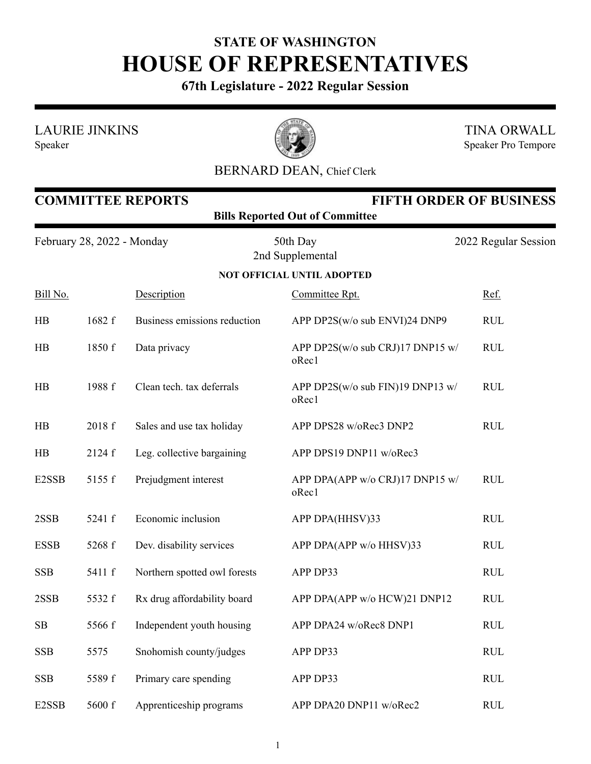## **STATE OF WASHINGTON HOUSE OF REPRESENTATIVES**

**67th Legislature - 2022 Regular Session**

LAURIE JINKINS

Speaker



TINA ORWALL Speaker Pro Tempore

## BERNARD DEAN, Chief Clerk

| <b>COMMITTEE REPORTS</b><br><b>FIFTH ORDER OF BUSINESS</b><br><b>Bills Reported Out of Committee</b> |        |                              |                                           |                      |  |  |  |
|------------------------------------------------------------------------------------------------------|--------|------------------------------|-------------------------------------------|----------------------|--|--|--|
| February 28, 2022 - Monday                                                                           |        |                              | 50th Day<br>2nd Supplemental              | 2022 Regular Session |  |  |  |
|                                                                                                      |        |                              | <b>NOT OFFICIAL UNTIL ADOPTED</b>         |                      |  |  |  |
| Bill No.                                                                                             |        | Description                  | Committee Rpt.                            | Ref.                 |  |  |  |
| HB                                                                                                   | 1682 f | Business emissions reduction | APP DP2S(w/o sub ENVI)24 DNP9             | <b>RUL</b>           |  |  |  |
| HB                                                                                                   | 1850 f | Data privacy                 | APP DP2S(w/o sub CRJ)17 DNP15 w/<br>oRec1 | <b>RUL</b>           |  |  |  |
| HB                                                                                                   | 1988 f | Clean tech. tax deferrals    | APP DP2S(w/o sub FIN)19 DNP13 w/<br>oRec1 | <b>RUL</b>           |  |  |  |
| HB                                                                                                   | 2018 f | Sales and use tax holiday    | APP DPS28 w/oRec3 DNP2                    | <b>RUL</b>           |  |  |  |
| HB                                                                                                   | 2124 f | Leg. collective bargaining   | APP DPS19 DNP11 w/oRec3                   |                      |  |  |  |
| E2SSB                                                                                                | 5155 f | Prejudgment interest         | APP DPA(APP w/o CRJ)17 DNP15 w/<br>oRec1  | <b>RUL</b>           |  |  |  |
| 2SSB                                                                                                 | 5241 f | Economic inclusion           | APP DPA(HHSV)33                           | <b>RUL</b>           |  |  |  |
| <b>ESSB</b>                                                                                          | 5268 f | Dev. disability services     | APP DPA(APP w/o HHSV)33                   | <b>RUL</b>           |  |  |  |
| <b>SSB</b>                                                                                           | 5411 f | Northern spotted owl forests | APP DP33                                  | <b>RUL</b>           |  |  |  |
| 2SSB                                                                                                 | 5532 f | Rx drug affordability board  | APP DPA(APP w/o HCW)21 DNP12              | <b>RUL</b>           |  |  |  |
| SB                                                                                                   | 5566 f | Independent youth housing    | APP DPA24 w/oRec8 DNP1                    | <b>RUL</b>           |  |  |  |
| <b>SSB</b>                                                                                           | 5575   | Snohomish county/judges      | APP DP33                                  | <b>RUL</b>           |  |  |  |
| <b>SSB</b>                                                                                           | 5589 f | Primary care spending        | APP DP33                                  | <b>RUL</b>           |  |  |  |
| E2SSB                                                                                                | 5600 f | Apprenticeship programs      | APP DPA20 DNP11 w/oRec2                   | RUL                  |  |  |  |